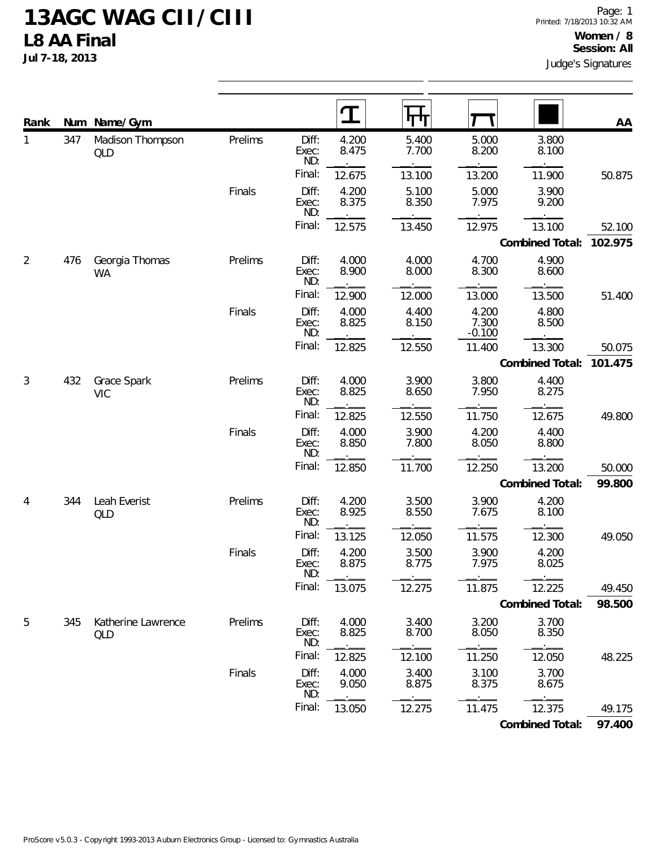**Jul 7-18, 2013**

| Rank           |     | Num Name/Gym                |         |                       | I              | गण             |                            |                 | AA      |
|----------------|-----|-----------------------------|---------|-----------------------|----------------|----------------|----------------------------|-----------------|---------|
| 1              | 347 | Madison Thompson<br>QLD     | Prelims | Diff:<br>Exec:<br>ND: | 4.200<br>8.475 | 5.400<br>7.700 | 5.000<br>8.200             | 3.800<br>8.100  |         |
|                |     |                             |         | Final:                | 12.675         | 13.100         | 13.200                     | 11.900          | 50.875  |
|                |     |                             | Finals  | Diff:<br>Exec:<br>ND: | 4.200<br>8.375 | 5.100<br>8.350 | 5.000<br>7.975             | 3.900<br>9.200  |         |
|                |     |                             |         | Final:                | 12.575         | 13.450         | 12.975                     | 13.100          | 52.100  |
|                |     |                             |         |                       |                |                |                            | Combined Total: | 102.975 |
| $\overline{2}$ | 476 | Georgia Thomas<br><b>WA</b> | Prelims | Diff:<br>Exec:<br>ND: | 4.000<br>8.900 | 4.000<br>8.000 | 4.700<br>8.300             | 4.900<br>8.600  |         |
|                |     |                             |         | Final:                | 12.900         | 12.000         | 13.000                     | 13.500          | 51.400  |
|                |     |                             | Finals  | Diff:<br>Exec:<br>ND: | 4.000<br>8.825 | 4.400<br>8.150 | 4.200<br>7.300<br>$-0.100$ | 4.800<br>8.500  |         |
|                |     |                             |         | Final:                | 12.825         | 12.550         | 11.400                     | 13.300          | 50.075  |
|                |     |                             |         |                       |                |                |                            | Combined Total: | 101.475 |
| 3              | 432 | Grace Spark<br><b>VIC</b>   | Prelims | Diff:<br>Exec:<br>ND: | 4.000<br>8.825 | 3.900<br>8.650 | 3.800<br>7.950             | 4.400<br>8.275  |         |
|                |     |                             |         | Final:                | 12.825         | 12.550         | 11.750                     | 12.675          | 49.800  |
|                |     |                             | Finals  | Diff:<br>Exec:<br>ND: | 4.000<br>8.850 | 3.900<br>7.800 | 4.200<br>8.050             | 4.400<br>8.800  |         |
|                |     |                             |         | Final:                | 12.850         | 11.700         | 12.250                     | 13.200          | 50.000  |
|                |     |                             |         |                       |                |                |                            | Combined Total: | 99.800  |
| 4              | 344 | Leah Everist<br>QLD         | Prelims | Diff:<br>Exec:<br>ND: | 4.200<br>8.925 | 3.500<br>8.550 | 3.900<br>7.675             | 4.200<br>8.100  |         |
|                |     |                             |         | Final:                | 13.125         | 12.050         | 11.575                     | 12.300          | 49.050  |
|                |     |                             | Finals  | Diff:<br>Exec:<br>ND: | 4.200<br>8.875 | 3.500<br>8.775 | 3.900<br>7.975             | 4.200<br>8.025  |         |
|                |     |                             |         | Final:                | 13.075         | 12.275         | 11.875                     | 12.225          | 49.450  |
|                |     |                             |         |                       |                |                |                            | Combined Total: | 98.500  |
| 5              | 345 | Katherine Lawrence<br>QLD   | Prelims | Diff:<br>Exec:<br>ND: | 4.000<br>8.825 | 3.400<br>8.700 | 3.200<br>8.050             | 3.700<br>8.350  |         |
|                |     |                             |         | Final:                | 12.825         | 12.100         | 11.250                     | 12.050          | 48.225  |
|                |     |                             | Finals  | Diff:<br>Exec:<br>ND: | 4.000<br>9.050 | 3.400<br>8.875 | 3.100<br>8.375             | 3.700<br>8.675  |         |
|                |     |                             |         | Final:                | 13.050         | 12.275         | 11.475                     | 12.375          | 49.175  |
|                |     |                             |         |                       |                |                |                            | Combined Total: | 97.400  |

ProScore v5.0.3 - Copyright 1993-2013 Auburn Electronics Group - Licensed to: Gymnastics Australia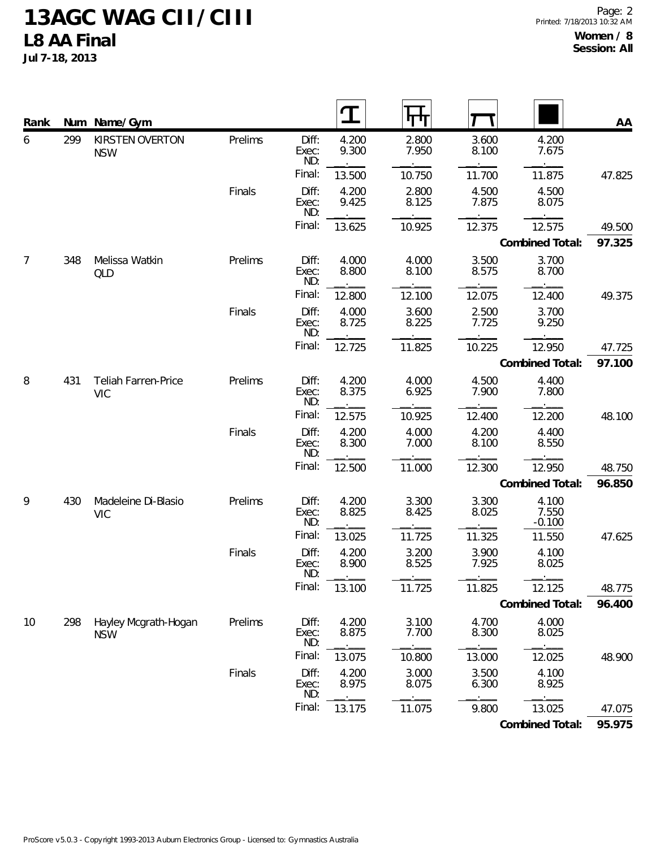**Jul 7-18, 2013**

| Rank           |     | Num Name/Gym                             |         |                       |                |                |                |                            | AA     |
|----------------|-----|------------------------------------------|---------|-----------------------|----------------|----------------|----------------|----------------------------|--------|
| 6              | 299 | KIRSTEN OVERTON<br><b>NSW</b>            | Prelims | Diff:<br>Exec:<br>ND: | 4.200<br>9.300 | 2.800<br>7.950 | 3.600<br>8.100 | 4.200<br>7.675             |        |
|                |     |                                          |         | Final:                | 13.500         | 10.750         | 11.700         | 11.875                     | 47.825 |
|                |     |                                          | Finals  | Diff:<br>Exec:<br>ND: | 4.200<br>9.425 | 2.800<br>8.125 | 4.500<br>7.875 | 4.500<br>8.075             |        |
|                |     |                                          |         | Final:                | 13.625         | 10.925         | 12.375         | 12.575                     | 49.500 |
|                |     |                                          |         |                       |                |                |                | Combined Total:            | 97.325 |
| $\overline{7}$ | 348 | Melissa Watkin<br><b>QLD</b>             | Prelims | Diff:<br>Exec:<br>ND: | 4.000<br>8.800 | 4.000<br>8.100 | 3.500<br>8.575 | 3.700<br>8.700             |        |
|                |     |                                          |         | Final:                | 12.800         | 12.100         | 12.075         | 12.400                     | 49.375 |
|                |     |                                          | Finals  | Diff:<br>Exec:<br>ND: | 4.000<br>8.725 | 3.600<br>8.225 | 2.500<br>7.725 | 3.700<br>9.250             |        |
|                |     |                                          |         | Final:                | 12.725         | 11.825         | 10.225         | 12.950                     | 47.725 |
|                |     |                                          |         |                       |                |                |                | Combined Total:            | 97.100 |
| 8              | 431 | <b>Teliah Farren-Price</b><br><b>VIC</b> | Prelims | Diff:<br>Exec:<br>ND: | 4.200<br>8.375 | 4.000<br>6.925 | 4.500<br>7.900 | 4.400<br>7.800             |        |
|                |     |                                          |         | Final:                | 12.575         | 10.925         | 12.400         | 12.200                     | 48.100 |
|                |     |                                          | Finals  | Diff:<br>Exec:<br>ND: | 4.200<br>8.300 | 4.000<br>7.000 | 4.200<br>8.100 | 4.400<br>8.550             |        |
|                |     |                                          |         | Final:                | 12.500         | 11.000         | 12.300         | 12.950                     | 48.750 |
|                |     |                                          |         |                       |                |                |                | Combined Total:            | 96.850 |
| 9              | 430 | Madeleine Di-Blasio<br><b>VIC</b>        | Prelims | Diff:<br>Exec:<br>ND: | 4.200<br>8.825 | 3.300<br>8.425 | 3.300<br>8.025 | 4.100<br>7.550<br>$-0.100$ |        |
|                |     |                                          |         | Final:                | 13.025         | 11.725         | 11.325         | 11.550                     | 47.625 |
|                |     |                                          | Finals  | Diff:<br>Exec:<br>ND: | 4.200<br>8.900 | 3.200<br>8.525 | 3.900<br>7.925 | 4.100<br>8.025             |        |
|                |     |                                          |         | Final:                | 13.100         | 11.725         | 11.825         | 12.125                     | 48.775 |
|                |     |                                          |         |                       |                |                |                | Combined Total:            | 96.400 |
| 10             | 298 | Hayley Mcgrath-Hogan<br><b>NSW</b>       | Prelims | Diff:<br>Exec:<br>ND: | 4.200<br>8.875 | 3.100<br>7.700 | 4.700<br>8.300 | 4.000<br>8.025             |        |
|                |     |                                          |         | Final:                | 13.075         | 10.800         | 13.000         | 12.025                     | 48.900 |
|                |     |                                          | Finals  | Diff:<br>Exec:<br>ND: | 4.200<br>8.975 | 3.000<br>8.075 | 3.500<br>6.300 | 4.100<br>8.925             |        |
|                |     |                                          |         | Final:                | 13.175         | 11.075         | 9.800          | 13.025                     | 47.075 |
|                |     |                                          |         |                       |                |                |                | Combined Total:            | 95.975 |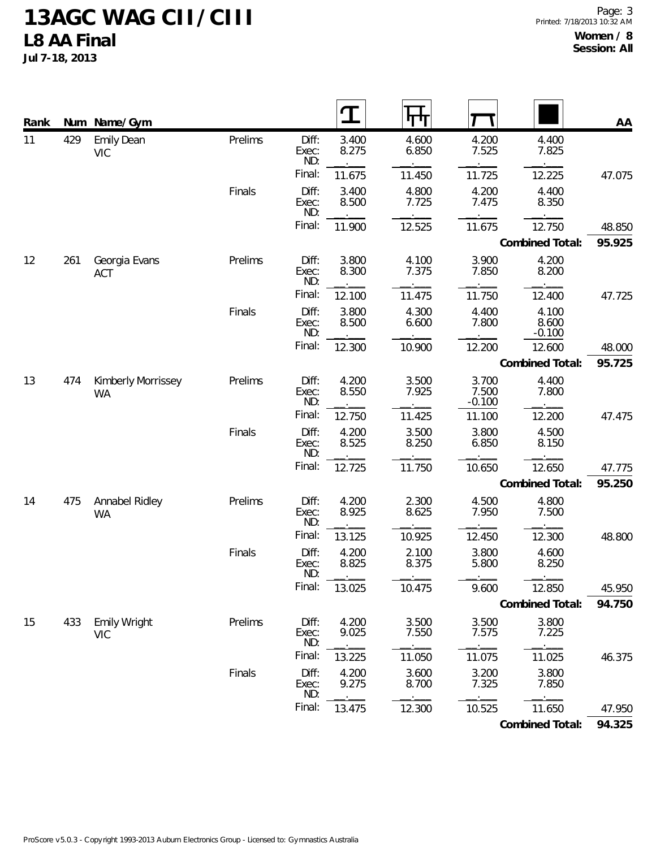**Jul 7-18, 2013**

| Rank | Num | Name/Gym                          |         |                       | $\bf{T}$       |                |                            |                            | AA     |
|------|-----|-----------------------------------|---------|-----------------------|----------------|----------------|----------------------------|----------------------------|--------|
| 11   | 429 | <b>Emily Dean</b><br><b>VIC</b>   | Prelims | Diff:<br>Exec:<br>ND: | 3.400<br>8.275 | 4.600<br>6.850 | 4.200<br>7.525             | 4.400<br>7.825             |        |
|      |     |                                   |         | Final:                | 11.675         | 11.450         | 11.725                     | 12.225                     | 47.075 |
|      |     |                                   | Finals  | Diff:<br>Exec:<br>ND: | 3.400<br>8.500 | 4.800<br>7.725 | 4.200<br>7.475             | 4.400<br>8.350             |        |
|      |     |                                   |         | Final:                | 11.900         | 12.525         | 11.675                     | 12.750                     | 48.850 |
|      |     |                                   |         |                       |                |                |                            | Combined Total:            | 95.925 |
| 12   | 261 | Georgia Evans<br><b>ACT</b>       | Prelims | Diff:<br>Exec:<br>ND: | 3.800<br>8.300 | 4.100<br>7.375 | 3.900<br>7.850             | 4.200<br>8.200             |        |
|      |     |                                   |         | Final:                | 12.100         | 11.475         | 11.750                     | 12.400                     | 47.725 |
|      |     |                                   | Finals  | Diff:<br>Exec:<br>ND: | 3.800<br>8.500 | 4.300<br>6.600 | 4.400<br>7.800             | 4.100<br>8.600<br>$-0.100$ |        |
|      |     |                                   |         | Final:                | 12.300         | 10.900         | 12.200                     | 12.600                     | 48.000 |
|      |     |                                   |         |                       |                |                |                            | Combined Total:            | 95.725 |
| 13   | 474 | Kimberly Morrissey<br><b>WA</b>   | Prelims | Diff:<br>Exec:<br>ND: | 4.200<br>8.550 | 3.500<br>7.925 | 3.700<br>7.500<br>$-0.100$ | 4.400<br>7.800             |        |
|      |     |                                   |         | Final:                | 12.750         | 11.425         | 11.100                     | 12.200                     | 47.475 |
|      |     |                                   | Finals  | Diff:<br>Exec:<br>ND: | 4.200<br>8.525 | 3.500<br>8.250 | 3.800<br>6.850             | 4.500<br>8.150             |        |
|      |     |                                   |         | Final:                | 12.725         | 11.750         | 10.650                     | 12.650                     | 47.775 |
|      |     |                                   |         |                       |                |                |                            | Combined Total:            | 95.250 |
| 14   | 475 | Annabel Ridley<br><b>WA</b>       | Prelims | Diff:<br>Exec:<br>ND: | 4.200<br>8.925 | 2.300<br>8.625 | 4.500<br>7.950             | 4.800<br>7.500             |        |
|      |     |                                   |         | Final:                | 13.125         | 10.925         | 12.450                     | 12.300                     | 48.800 |
|      |     |                                   | Finals  | Diff:<br>Exec:<br>ND: | 4.200<br>8.825 | 2.100<br>8.375 | 3.800<br>5.800             | 4.600<br>8.250             |        |
|      |     |                                   |         | Final:                | 13.025         | 10.475         | 9.600                      | 12.850                     | 45.950 |
|      |     |                                   |         |                       |                |                |                            | Combined Total:            | 94.750 |
| 15   | 433 | <b>Emily Wright</b><br><b>VIC</b> | Prelims | Diff:<br>Exec:<br>ND: | 4.200<br>9.025 | 3.500<br>7.550 | 3.500<br>7.575             | 3.800<br>7.225             |        |
|      |     |                                   |         | Final:                | 13.225         | 11.050         | 11.075                     | 11.025                     | 46.375 |
|      |     |                                   | Finals  | Diff:<br>Exec:<br>ND: | 4.200<br>9.275 | 3.600<br>8.700 | 3.200<br>7.325             | 3.800<br>7.850             |        |
|      |     |                                   |         | Final:                | 13.475         | 12.300         | 10.525                     | 11.650                     | 47.950 |

**Combined Total: 94.325**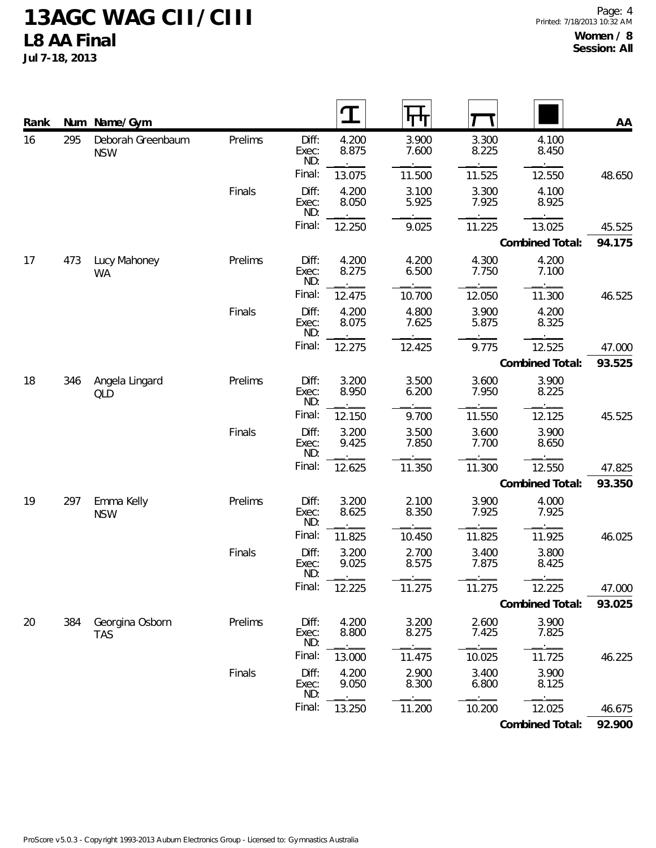**Jul 7-18, 2013**

| Rank |     | Num Name/Gym                    |         |                       |                |                |                |                 | AA     |
|------|-----|---------------------------------|---------|-----------------------|----------------|----------------|----------------|-----------------|--------|
| 16   | 295 | Deborah Greenbaum<br><b>NSW</b> | Prelims | Diff:<br>Exec:<br>ND: | 4.200<br>8.875 | 3.900<br>7.600 | 3.300<br>8.225 | 4.100<br>8.450  |        |
|      |     |                                 |         | Final:                | 13.075         | 11.500         | 11.525         | 12.550          | 48.650 |
|      |     |                                 | Finals  | Diff:<br>Exec:<br>ND: | 4.200<br>8.050 | 3.100<br>5.925 | 3.300<br>7.925 | 4.100<br>8.925  |        |
|      |     |                                 |         | Final:                | 12.250         | 9.025          | 11.225         | 13.025          | 45.525 |
|      |     |                                 |         |                       |                |                |                | Combined Total: | 94.175 |
| 17   | 473 | Lucy Mahoney<br><b>WA</b>       | Prelims | Diff:<br>Exec:<br>ND: | 4.200<br>8.275 | 4.200<br>6.500 | 4.300<br>7.750 | 4.200<br>7.100  |        |
|      |     |                                 |         | Final:                | 12.475         | 10.700         | 12.050         | 11.300          | 46.525 |
|      |     |                                 | Finals  | Diff:<br>Exec:<br>ND: | 4.200<br>8.075 | 4.800<br>7.625 | 3.900<br>5.875 | 4.200<br>8.325  |        |
|      |     |                                 |         | Final:                | 12.275         | 12.425         | 9.775          | 12.525          | 47.000 |
|      |     |                                 |         |                       |                |                |                | Combined Total: | 93.525 |
| 18   | 346 | Angela Lingard<br>QLD           | Prelims | Diff:<br>Exec:<br>ND: | 3.200<br>8.950 | 3.500<br>6.200 | 3.600<br>7.950 | 3.900<br>8.225  |        |
|      |     |                                 |         | Final:                | 12.150         | 9.700          | 11.550         | 12.125          | 45.525 |
|      |     |                                 | Finals  | Diff:<br>Exec:<br>ND: | 3.200<br>9.425 | 3.500<br>7.850 | 3.600<br>7.700 | 3.900<br>8.650  |        |
|      |     |                                 |         | Final:                | 12.625         | 11.350         | 11.300         | 12.550          | 47.825 |
|      |     |                                 |         |                       |                |                |                | Combined Total: | 93.350 |
| 19   | 297 | Emma Kelly<br><b>NSW</b>        | Prelims | Diff:<br>Exec:<br>ND: | 3.200<br>8.625 | 2.100<br>8.350 | 3.900<br>7.925 | 4.000<br>7.925  |        |
|      |     |                                 |         | Final:                | 11.825         | 10.450         | 11.825         | 11.925          | 46.025 |
|      |     |                                 | Finals  | Diff:<br>Exec:<br>ND: | 3.200<br>9.025 | 2.700<br>8.575 | 3.400<br>7.875 | 3.800<br>8.425  |        |
|      |     |                                 |         | Final:                | 12.225         | 11.275         | 11.275         | 12.225          | 47.000 |
|      |     |                                 |         |                       |                |                |                | Combined Total: | 93.025 |
| 20   | 384 | Georgina Osborn<br><b>TAS</b>   | Prelims | Diff:<br>Exec:<br>ND: | 4.200<br>8.800 | 3.200<br>8.275 | 2.600<br>7.425 | 3.900<br>7.825  |        |
|      |     |                                 |         | Final:                | 13.000         | 11.475         | 10.025         | 11.725          | 46.225 |
|      |     |                                 | Finals  | Diff:<br>Exec:<br>ND: | 4.200<br>9.050 | 2.900<br>8.300 | 3.400<br>6.800 | 3.900<br>8.125  |        |
|      |     |                                 |         | Final:                | 13.250         | 11.200         | 10.200         | 12.025          | 46.675 |
|      |     |                                 |         |                       |                |                |                | Combined Total: | 92.900 |